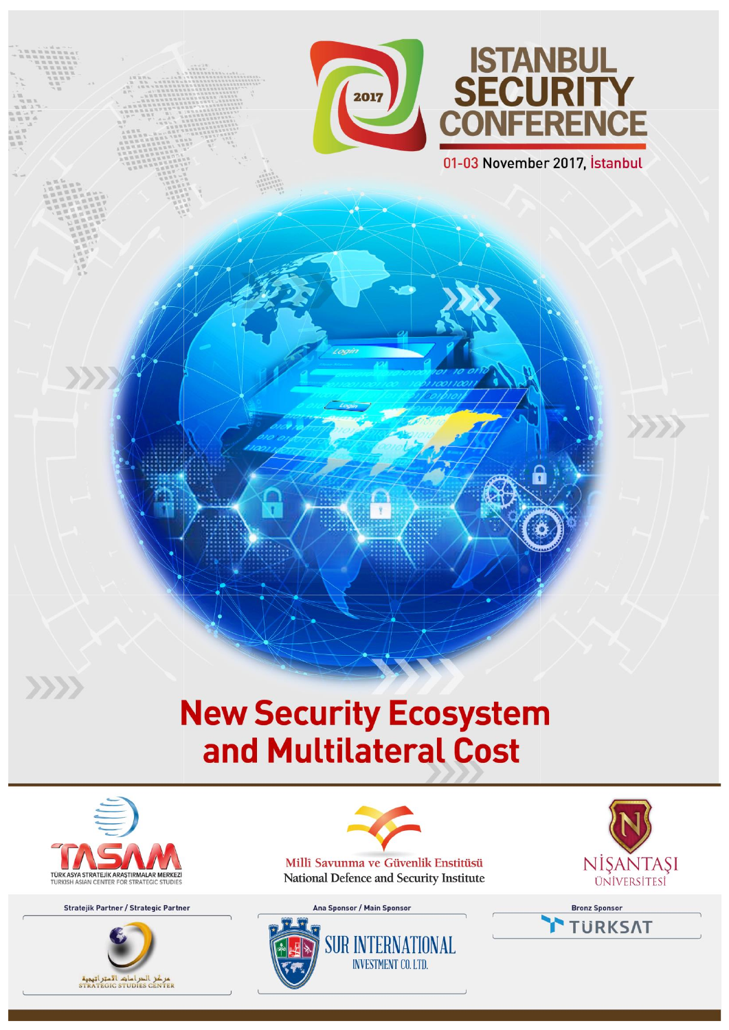



01-03 November 2017, İstanbul

# **New Security Ecosystem** and Multilateral Cost

 $\frac{1}{r}$ 



 $\langle \rangle \rangle$ 

Stratejik Partner / Strategic Partner



Millî Savunma ve Güvenlik Enstitüsü National Defence and Security Institute

> **SUR INTERNATIONAL INVESTMENT CO. LTD.**

Ana Sponsor / Main Sponsor



**Bronz Sponsor TURKSAT** 

 $\left\langle \cdot , \cdot \right\rangle$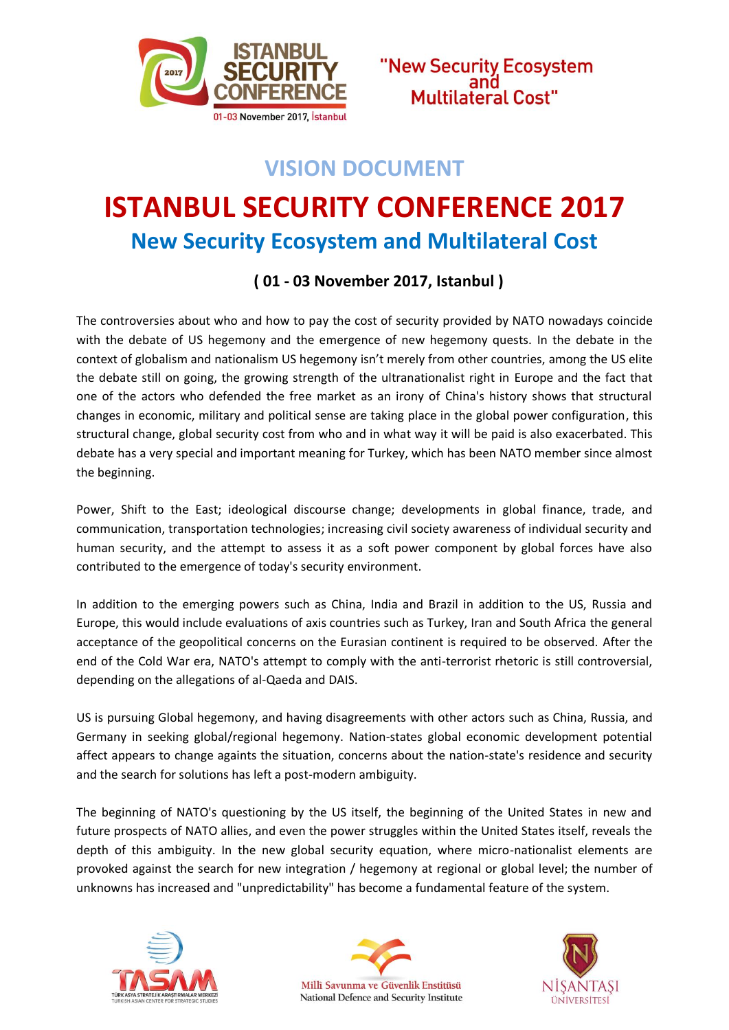



### **VISION DOCUMENT**

## **ISTANBUL SECURITY CONFERENCE 2017 New Security Ecosystem and Multilateral Cost**

#### **( 01 - 03 November 2017, Istanbul )**

The controversies about who and how to pay the cost of security provided by NATO nowadays coincide with the debate of US hegemony and the emergence of new hegemony quests. In the debate in the context of globalism and nationalism US hegemony isn't merely from other countries, among the US elite the debate still on going, the growing strength of the ultranationalist right in Europe and the fact that one of the actors who defended the free market as an irony of China's history shows that structural changes in economic, military and political sense are taking place in the global power configuration, this structural change, global security cost from who and in what way it will be paid is also exacerbated. This debate has a very special and important meaning for Turkey, which has been NATO member since almost the beginning.

Power, Shift to the East; ideological discourse change; developments in global finance, trade, and communication, transportation technologies; increasing civil society awareness of individual security and human security, and the attempt to assess it as a soft power component by global forces have also contributed to the emergence of today's security environment.

In addition to the emerging powers such as China, India and Brazil in addition to the US, Russia and Europe, this would include evaluations of axis countries such as Turkey, Iran and South Africa the general acceptance of the geopolitical concerns on the Eurasian continent is required to be observed. After the end of the Cold War era, NATO's attempt to comply with the anti-terrorist rhetoric is still controversial, depending on the allegations of al-Qaeda and DAIS.

US is pursuing Global hegemony, and having disagreements with other actors such as China, Russia, and Germany in seeking global/regional hegemony. Nation-states global economic development potential affect appears to change againts the situation, concerns about the nation-state's residence and security and the search for solutions has left a post-modern ambiguity.

The beginning of NATO's questioning by the US itself, the beginning of the United States in new and future prospects of NATO allies, and even the power struggles within the United States itself, reveals the depth of this ambiguity. In the new global security equation, where micro-nationalist elements are provoked against the search for new integration / hegemony at regional or global level; the number of unknowns has increased and "unpredictability" has become a fundamental feature of the system.





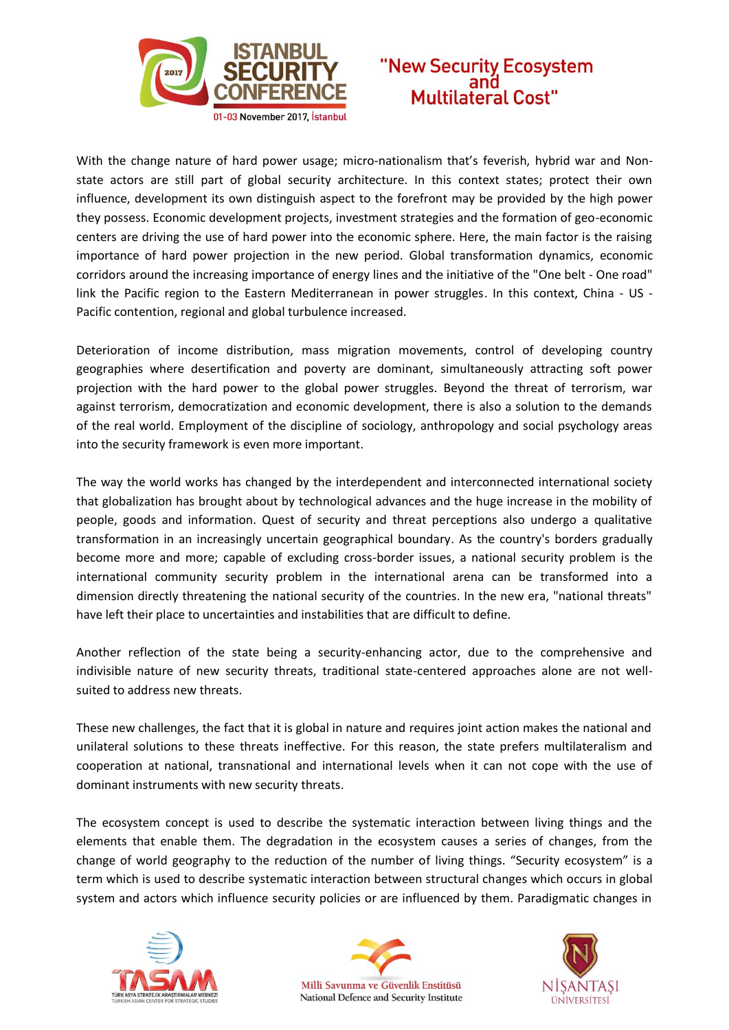



With the change nature of hard power usage; micro-nationalism that's feverish, hybrid war and Nonstate actors are still part of global security architecture. In this context states; protect their own influence, development its own distinguish aspect to the forefront may be provided by the high power they possess. Economic development projects, investment strategies and the formation of geo-economic centers are driving the use of hard power into the economic sphere. Here, the main factor is the raising importance of hard power projection in the new period. Global transformation dynamics, economic corridors around the increasing importance of energy lines and the initiative of the "One belt - One road" link the Pacific region to the Eastern Mediterranean in power struggles. In this context, China - US - Pacific contention, regional and global turbulence increased.

Deterioration of income distribution, mass migration movements, control of developing country geographies where desertification and poverty are dominant, simultaneously attracting soft power projection with the hard power to the global power struggles. Beyond the threat of terrorism, war against terrorism, democratization and economic development, there is also a solution to the demands of the real world. Employment of the discipline of sociology, anthropology and social psychology areas into the security framework is even more important.

The way the world works has changed by the interdependent and interconnected international society that globalization has brought about by technological advances and the huge increase in the mobility of people, goods and information. Quest of security and threat perceptions also undergo a qualitative transformation in an increasingly uncertain geographical boundary. As the country's borders gradually become more and more; capable of excluding cross-border issues, a national security problem is the international community security problem in the international arena can be transformed into a dimension directly threatening the national security of the countries. In the new era, "national threats" have left their place to uncertainties and instabilities that are difficult to define.

Another reflection of the state being a security-enhancing actor, due to the comprehensive and indivisible nature of new security threats, traditional state-centered approaches alone are not wellsuited to address new threats.

These new challenges, the fact that it is global in nature and requires joint action makes the national and unilateral solutions to these threats ineffective. For this reason, the state prefers multilateralism and cooperation at national, transnational and international levels when it can not cope with the use of dominant instruments with new security threats.

The ecosystem concept is used to describe the systematic interaction between living things and the elements that enable them. The degradation in the ecosystem causes a series of changes, from the change of world geography to the reduction of the number of living things. "Security ecosystem" is a term which is used to describe systematic interaction between structural changes which occurs in global system and actors which influence security policies or are influenced by them. Paradigmatic changes in





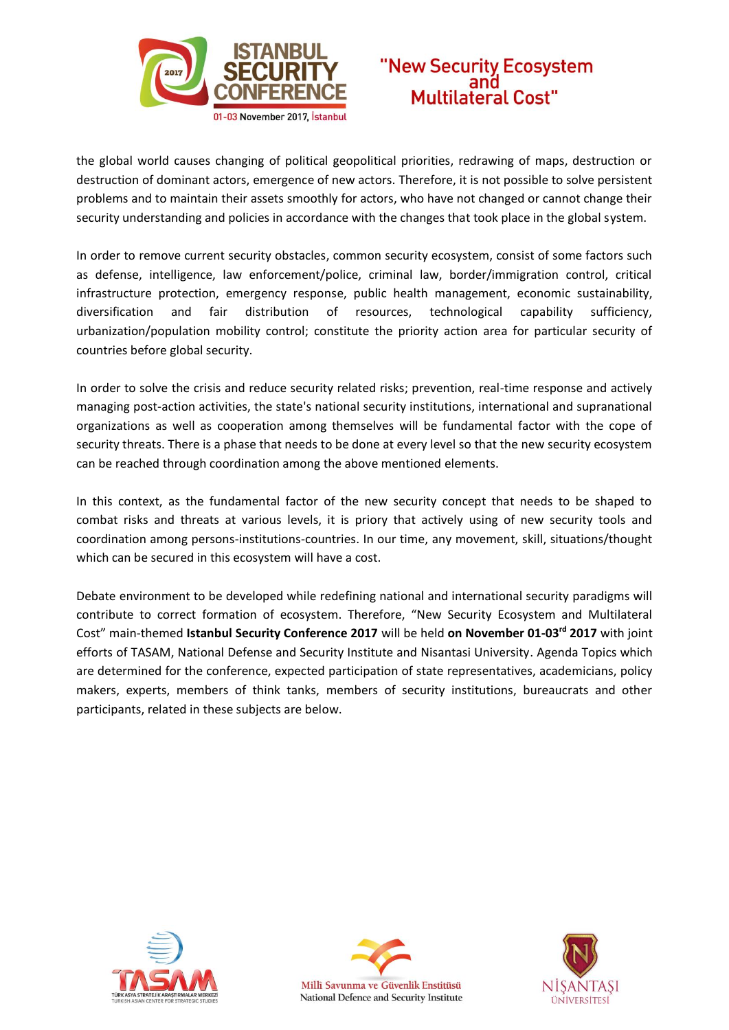



the global world causes changing of political geopolitical priorities, redrawing of maps, destruction or destruction of dominant actors, emergence of new actors. Therefore, it is not possible to solve persistent problems and to maintain their assets smoothly for actors, who have not changed or cannot change their security understanding and policies in accordance with the changes that took place in the global system.

In order to remove current security obstacles, common security ecosystem, consist of some factors such as defense, intelligence, law enforcement/police, criminal law, border/immigration control, critical infrastructure protection, emergency response, public health management, economic sustainability, diversification and fair distribution of resources, technological capability sufficiency, urbanization/population mobility control; constitute the priority action area for particular security of countries before global security.

In order to solve the crisis and reduce security related risks; prevention, real-time response and actively managing post-action activities, the state's national security institutions, international and supranational organizations as well as cooperation among themselves will be fundamental factor with the cope of security threats. There is a phase that needs to be done at every level so that the new security ecosystem can be reached through coordination among the above mentioned elements.

In this context, as the fundamental factor of the new security concept that needs to be shaped to combat risks and threats at various levels, it is priory that actively using of new security tools and coordination among persons-institutions-countries. In our time, any movement, skill, situations/thought which can be secured in this ecosystem will have a cost.

Debate environment to be developed while redefining national and international security paradigms will contribute to correct formation of ecosystem. Therefore, "New Security Ecosystem and Multilateral Cost" main-themed **Istanbul Security Conference 2017** will be held **on November 01-03rd 2017** with joint efforts of TASAM, National Defense and Security Institute and Nisantasi University. Agenda Topics which are determined for the conference, expected participation of state representatives, academicians, policy makers, experts, members of think tanks, members of security institutions, bureaucrats and other participants, related in these subjects are below.